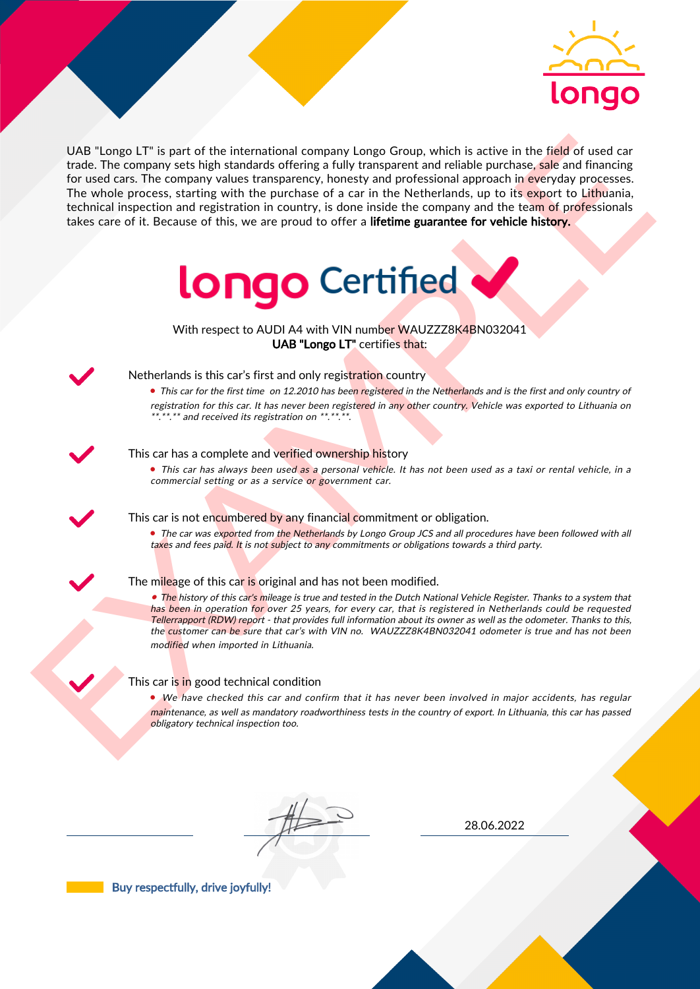

UAS "Lange LIT" is part of the interactional company longe Group, which is active in the field of used car<br>for the field of used car and contract the contract of the particles of a car in the Netherlands, up to its constr UAB "Longo LT" is part of the international company Longo Group, which is active in the field of used car trade. The company sets high standards offering a fully transparent and reliable purchase, sale and financing for used cars. The company values transparency, honesty and professional approach in everyday processes. The whole process, starting with the purchase of a car in the Netherlands, up to its export to Lithuania, technical inspection and registration in country, is done inside the company and the team of professionals takes care of it. Because of this, we are proud to offer a lifetime guarantee for vehicle history.



With respect to AUDI A4 with VIN number WAUZZZ8K4BN032041 UAB "Longo LT" certifies that:



## Netherlands is this car's first and only registration country

• This car for the first time on 12.2010 has been registered in the Netherlands and is the first and only country of registration for this car. It has never been registered in any other country. Vehicle was exported to Lithuania on \*.\*\*.\*\* and received its registration on \*\*.\*\*.\*\*.

#### This car has a complete and verified ownership history

• This car has always been used as a personal vehicle. It has not been used as a taxi or rental vehicle, in a commercial setting or as a service or government car.

This car is not encumbered by any financial commitment or obligation.

• The car was exported from the Netherlands by Longo Group JCS and all procedures have been followed with all taxes and fees paid. It is not subject to any commitments or obligations towards a third party.

### The mileage of this car is original and has not been modified.

• The history of this car's mileage is true and tested in the Dutch National Vehicle Register. Thanks to a system that has been in operation for over 25 years, for every car, that is registered in Netherlands could be requested Tellerrapport (RDW) report - that provides full information about its owner as well as the odometer. Thanks to this, the customer can be sure that car's with VIN no. WAUZZZ8K4BN032041 odometer is true and has not been modified when imported in Lithuania.

#### This car is in good technical condition

• We have checked this car and confirm that it has never been involved in major accidents, has regular maintenance, as well as mandatory roadworthiness tests in the country of export. In Lithuania, this car has passed obligatory technical inspection too.

28.06.2022

Buy respectfully, drive joyfully!